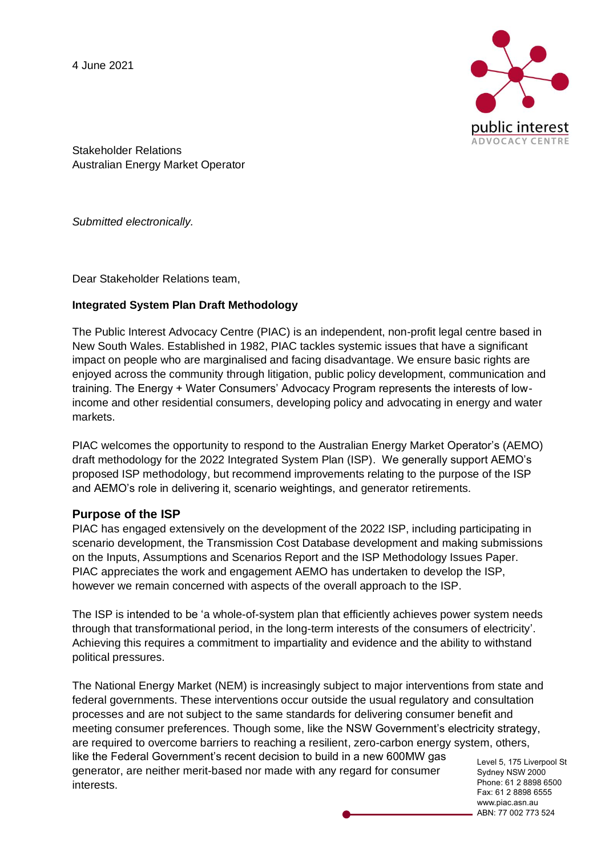4 June 2021



Stakeholder Relations Australian Energy Market Operator

*Submitted electronically.* 

Dear Stakeholder Relations team,

### **Integrated System Plan Draft Methodology**

The Public Interest Advocacy Centre (PIAC) is an independent, non-profit legal centre based in New South Wales. Established in 1982, PIAC tackles systemic issues that have a significant impact on people who are marginalised and facing disadvantage. We ensure basic rights are enjoyed across the community through litigation, public policy development, communication and training. The Energy + Water Consumers' Advocacy Program represents the interests of lowincome and other residential consumers, developing policy and advocating in energy and water markets.

PIAC welcomes the opportunity to respond to the Australian Energy Market Operator's (AEMO) draft methodology for the 2022 Integrated System Plan (ISP). We generally support AEMO's proposed ISP methodology, but recommend improvements relating to the purpose of the ISP and AEMO's role in delivering it, scenario weightings, and generator retirements.

#### **Purpose of the ISP**

PIAC has engaged extensively on the development of the 2022 ISP, including participating in scenario development, the Transmission Cost Database development and making submissions on the Inputs, Assumptions and Scenarios Report and the ISP Methodology Issues Paper. PIAC appreciates the work and engagement AEMO has undertaken to develop the ISP, however we remain concerned with aspects of the overall approach to the ISP.

The ISP is intended to be 'a whole-of-system plan that efficiently achieves power system needs through that transformational period, in the long-term interests of the consumers of electricity'. Achieving this requires a commitment to impartiality and evidence and the ability to withstand political pressures.

Sydney NSW 2000 The National Energy Market (NEM) is increasingly subject to major interventions from state and federal governments. These interventions occur outside the usual regulatory and consultation processes and are not subject to the same standards for delivering consumer benefit and meeting consumer preferences. Though some, like the NSW Government's electricity strategy, are required to overcome barriers to reaching a resilient, zero-carbon energy system, others, like the Federal Government's recent decision to build in a new 600MW gas generator, are neither merit-based nor made with any regard for consumer interests.

Level 5, 175 Liverpool St Phone: 61 2 8898 6500 Fax: 61 2 8898 6555 www.piac.asn.au ABN: 77 002 773 524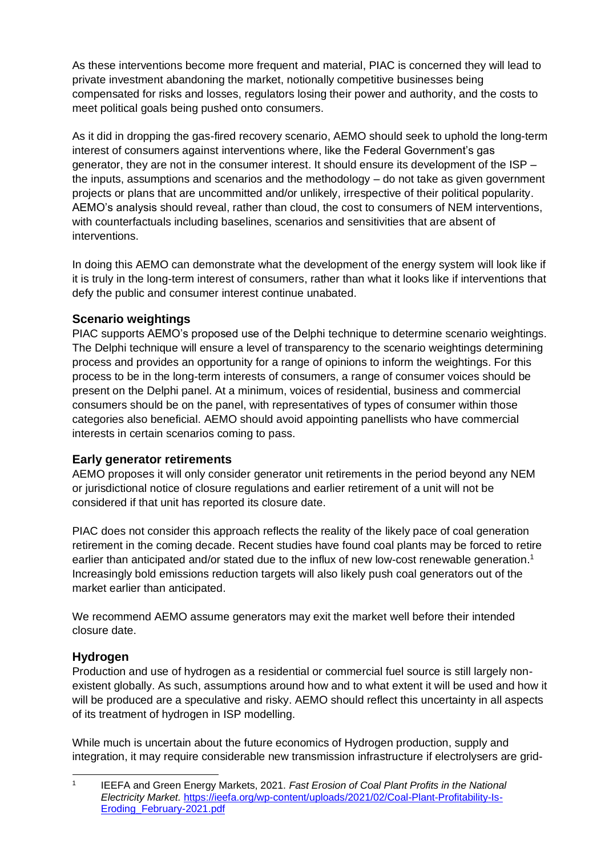As these interventions become more frequent and material, PIAC is concerned they will lead to private investment abandoning the market, notionally competitive businesses being compensated for risks and losses, regulators losing their power and authority, and the costs to meet political goals being pushed onto consumers.

As it did in dropping the gas-fired recovery scenario, AEMO should seek to uphold the long-term interest of consumers against interventions where, like the Federal Government's gas generator, they are not in the consumer interest. It should ensure its development of the ISP – the inputs, assumptions and scenarios and the methodology – do not take as given government projects or plans that are uncommitted and/or unlikely, irrespective of their political popularity. AEMO's analysis should reveal, rather than cloud, the cost to consumers of NEM interventions, with counterfactuals including baselines, scenarios and sensitivities that are absent of interventions.

In doing this AEMO can demonstrate what the development of the energy system will look like if it is truly in the long-term interest of consumers, rather than what it looks like if interventions that defy the public and consumer interest continue unabated.

# **Scenario weightings**

PIAC supports AEMO's proposed use of the Delphi technique to determine scenario weightings. The Delphi technique will ensure a level of transparency to the scenario weightings determining process and provides an opportunity for a range of opinions to inform the weightings. For this process to be in the long-term interests of consumers, a range of consumer voices should be present on the Delphi panel. At a minimum, voices of residential, business and commercial consumers should be on the panel, with representatives of types of consumer within those categories also beneficial. AEMO should avoid appointing panellists who have commercial interests in certain scenarios coming to pass.

## **Early generator retirements**

AEMO proposes it will only consider generator unit retirements in the period beyond any NEM or jurisdictional notice of closure regulations and earlier retirement of a unit will not be considered if that unit has reported its closure date.

PIAC does not consider this approach reflects the reality of the likely pace of coal generation retirement in the coming decade. Recent studies have found coal plants may be forced to retire earlier than anticipated and/or stated due to the influx of new low-cost renewable generation.<sup>1</sup> Increasingly bold emissions reduction targets will also likely push coal generators out of the market earlier than anticipated.

We recommend AEMO assume generators may exit the market well before their intended closure date.

## **Hydrogen**

Production and use of hydrogen as a residential or commercial fuel source is still largely nonexistent globally. As such, assumptions around how and to what extent it will be used and how it will be produced are a speculative and risky. AEMO should reflect this uncertainty in all aspects of its treatment of hydrogen in ISP modelling.

While much is uncertain about the future economics of Hydrogen production, supply and integration, it may require considerable new transmission infrastructure if electrolysers are grid-

<sup>1</sup> IEEFA and Green Energy Markets, 2021. *Fast Erosion of Coal Plant Profits in the National Electricity Market.* [https://ieefa.org/wp-content/uploads/2021/02/Coal-Plant-Profitability-Is-](https://ieefa.org/wp-content/uploads/2021/02/Coal-Plant-Profitability-Is-Eroding_February-2021.pdf)[Eroding\\_February-2021.pdf](https://ieefa.org/wp-content/uploads/2021/02/Coal-Plant-Profitability-Is-Eroding_February-2021.pdf)